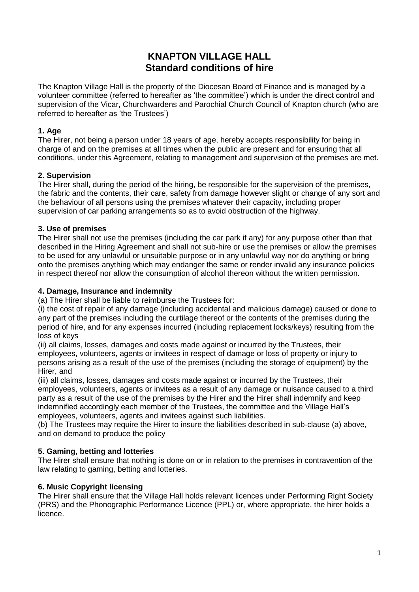# **KNAPTON VILLAGE HALL Standard conditions of hire**

The Knapton Village Hall is the property of the Diocesan Board of Finance and is managed by a volunteer committee (referred to hereafter as 'the committee') which is under the direct control and supervision of the Vicar, Churchwardens and Parochial Church Council of Knapton church (who are referred to hereafter as 'the Trustees')

#### **1. Age**

The Hirer, not being a person under 18 years of age, hereby accepts responsibility for being in charge of and on the premises at all times when the public are present and for ensuring that all conditions, under this Agreement, relating to management and supervision of the premises are met.

## **2. Supervision**

The Hirer shall, during the period of the hiring, be responsible for the supervision of the premises, the fabric and the contents, their care, safety from damage however slight or change of any sort and the behaviour of all persons using the premises whatever their capacity, including proper supervision of car parking arrangements so as to avoid obstruction of the highway.

## **3. Use of premises**

The Hirer shall not use the premises (including the car park if any) for any purpose other than that described in the Hiring Agreement and shall not sub-hire or use the premises or allow the premises to be used for any unlawful or unsuitable purpose or in any unlawful way nor do anything or bring onto the premises anything which may endanger the same or render invalid any insurance policies in respect thereof nor allow the consumption of alcohol thereon without the written permission.

## **4. Damage, Insurance and indemnity**

(a) The Hirer shall be liable to reimburse the Trustees for:

(i) the cost of repair of any damage (including accidental and malicious damage) caused or done to any part of the premises including the curtilage thereof or the contents of the premises during the period of hire, and for any expenses incurred (including replacement locks/keys) resulting from the loss of keys

(ii) all claims, losses, damages and costs made against or incurred by the Trustees, their employees, volunteers, agents or invitees in respect of damage or loss of property or injury to persons arising as a result of the use of the premises (including the storage of equipment) by the Hirer, and

(iii) all claims, losses, damages and costs made against or incurred by the Trustees, their employees, volunteers, agents or invitees as a result of any damage or nuisance caused to a third party as a result of the use of the premises by the Hirer and the Hirer shall indemnify and keep indemnified accordingly each member of the Trustees, the committee and the Village Hall's employees, volunteers, agents and invitees against such liabilities.

(b) The Trustees may require the Hirer to insure the liabilities described in sub-clause (a) above, and on demand to produce the policy

# **5. Gaming, betting and lotteries**

The Hirer shall ensure that nothing is done on or in relation to the premises in contravention of the law relating to gaming, betting and lotteries.

# **6. Music Copyright licensing**

The Hirer shall ensure that the Village Hall holds relevant licences under Performing Right Society (PRS) and the Phonographic Performance Licence (PPL) or, where appropriate, the hirer holds a licence.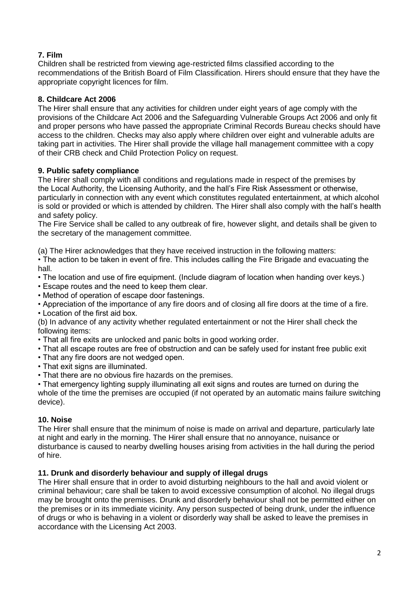# **7. Film**

Children shall be restricted from viewing age-restricted films classified according to the recommendations of the British Board of Film Classification. Hirers should ensure that they have the appropriate copyright licences for film.

# **8. Childcare Act 2006**

The Hirer shall ensure that any activities for children under eight years of age comply with the provisions of the Childcare Act 2006 and the Safeguarding Vulnerable Groups Act 2006 and only fit and proper persons who have passed the appropriate Criminal Records Bureau checks should have access to the children. Checks may also apply where children over eight and vulnerable adults are taking part in activities. The Hirer shall provide the village hall management committee with a copy of their CRB check and Child Protection Policy on request.

# **9. Public safety compliance**

The Hirer shall comply with all conditions and regulations made in respect of the premises by the Local Authority, the Licensing Authority, and the hall's Fire Risk Assessment or otherwise, particularly in connection with any event which constitutes regulated entertainment, at which alcohol is sold or provided or which is attended by children. The Hirer shall also comply with the hall's health and safety policy.

The Fire Service shall be called to any outbreak of fire, however slight, and details shall be given to the secretary of the management committee.

(a) The Hirer acknowledges that they have received instruction in the following matters:

• The action to be taken in event of fire. This includes calling the Fire Brigade and evacuating the hall.

• The location and use of fire equipment. (Include diagram of location when handing over keys.)

• Escape routes and the need to keep them clear.

• Method of operation of escape door fastenings.

• Appreciation of the importance of any fire doors and of closing all fire doors at the time of a fire.

• Location of the first aid box.

(b) In advance of any activity whether regulated entertainment or not the Hirer shall check the following items:

• That all fire exits are unlocked and panic bolts in good working order.

• That all escape routes are free of obstruction and can be safely used for instant free public exit

- That any fire doors are not wedged open.
- That exit signs are illuminated.
- That there are no obvious fire hazards on the premises.

• That emergency lighting supply illuminating all exit signs and routes are turned on during the whole of the time the premises are occupied (if not operated by an automatic mains failure switching device).

# **10. Noise**

The Hirer shall ensure that the minimum of noise is made on arrival and departure, particularly late at night and early in the morning. The Hirer shall ensure that no annoyance, nuisance or disturbance is caused to nearby dwelling houses arising from activities in the hall during the period of hire.

# **11. Drunk and disorderly behaviour and supply of illegal drugs**

The Hirer shall ensure that in order to avoid disturbing neighbours to the hall and avoid violent or criminal behaviour; care shall be taken to avoid excessive consumption of alcohol. No illegal drugs may be brought onto the premises. Drunk and disorderly behaviour shall not be permitted either on the premises or in its immediate vicinity. Any person suspected of being drunk, under the influence of drugs or who is behaving in a violent or disorderly way shall be asked to leave the premises in accordance with the Licensing Act 2003.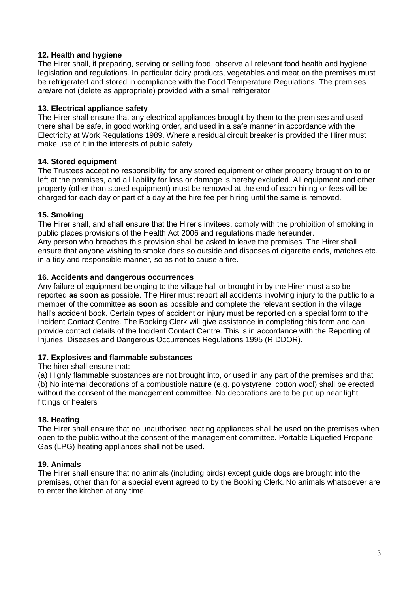#### **12. Health and hygiene**

The Hirer shall, if preparing, serving or selling food, observe all relevant food health and hygiene legislation and regulations. In particular dairy products, vegetables and meat on the premises must be refrigerated and stored in compliance with the Food Temperature Regulations. The premises are/are not (delete as appropriate) provided with a small refrigerator

## **13. Electrical appliance safety**

The Hirer shall ensure that any electrical appliances brought by them to the premises and used there shall be safe, in good working order, and used in a safe manner in accordance with the Electricity at Work Regulations 1989. Where a residual circuit breaker is provided the Hirer must make use of it in the interests of public safety

## **14. Stored equipment**

The Trustees accept no responsibility for any stored equipment or other property brought on to or left at the premises, and all liability for loss or damage is hereby excluded. All equipment and other property (other than stored equipment) must be removed at the end of each hiring or fees will be charged for each day or part of a day at the hire fee per hiring until the same is removed.

## **15. Smoking**

The Hirer shall, and shall ensure that the Hirer's invitees, comply with the prohibition of smoking in public places provisions of the Health Act 2006 and regulations made hereunder. Any person who breaches this provision shall be asked to leave the premises. The Hirer shall ensure that anyone wishing to smoke does so outside and disposes of cigarette ends, matches etc. in a tidy and responsible manner, so as not to cause a fire.

## **16. Accidents and dangerous occurrences**

Any failure of equipment belonging to the village hall or brought in by the Hirer must also be reported **as soon as** possible. The Hirer must report all accidents involving injury to the public to a member of the committee **as soon as** possible and complete the relevant section in the village hall's accident book. Certain types of accident or injury must be reported on a special form to the Incident Contact Centre. The Booking Clerk will give assistance in completing this form and can provide contact details of the Incident Contact Centre. This is in accordance with the Reporting of Injuries, Diseases and Dangerous Occurrences Regulations 1995 (RIDDOR).

## **17. Explosives and flammable substances**

#### The hirer shall ensure that:

(a) Highly flammable substances are not brought into, or used in any part of the premises and that (b) No internal decorations of a combustible nature (e.g. polystyrene, cotton wool) shall be erected without the consent of the management committee. No decorations are to be put up near light fittings or heaters

# **18. Heating**

The Hirer shall ensure that no unauthorised heating appliances shall be used on the premises when open to the public without the consent of the management committee. Portable Liquefied Propane Gas (LPG) heating appliances shall not be used.

#### **19. Animals**

The Hirer shall ensure that no animals (including birds) except guide dogs are brought into the premises, other than for a special event agreed to by the Booking Clerk. No animals whatsoever are to enter the kitchen at any time.